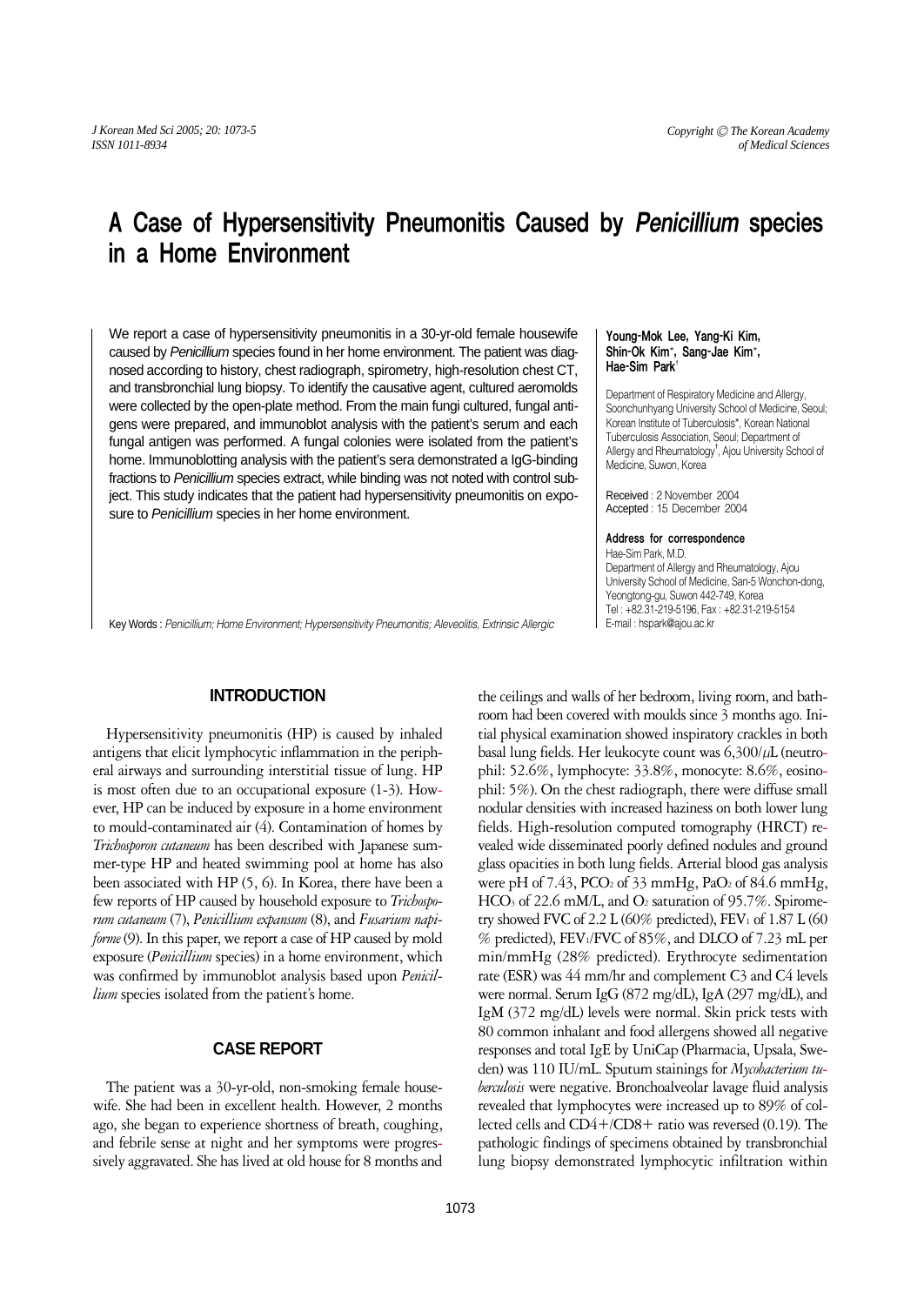# A Case of Hypersensitivity Pneumonitis Caused by Penicillium species in a Home Environment

We report a case of hypersensitivity pneumonitis in a 30-yr-old female housewife caused by Penicillium species found in her home environment. The patient was diagnosed according to history, chest radiograph, spirometry, high-resolution chest CT, and transbronchial lung biopsy. To identify the causative agent, cultured aeromolds were collected by the open-plate method. From the main fungi cultured, fungal antigens were prepared, and immunoblot analysis with the patient's serum and each fungal antigen was performed. A fungal colonies were isolated from the patient's home. Immunoblotting analysis with the patient's sera demonstrated a IgG-binding fractions to Penicillium species extract, while binding was not noted with control subject. This study indicates that the patient had hypersensitivity pneumonitis on exposure to Penicillium species in her home environment.

#### Young-Mok Lee, Yang-Ki Kim, Shin-Ok Kim\*, Sang-Jae Kim\*, Hae-Sim Park<sup>+</sup>

Department of Respiratory Medicine and Allergy, Soonchunhyang University School of Medicine, Seoul; Korean Institute of Tuberculosis\*, Korean National Tuberculosis Association, Seoul; Department of Allergy and Rheumatology<sup>†</sup>, Ajou University School of Medicine, Suwon, Korea

Received : 2 November 2004 Accepted : 15 December 2004

#### Address for correspondence

Hae-Sim Park, M.D. Department of Allergy and Rheumatology, Ajou University School of Medicine, San-5 Wonchon-dong, Yeongtong-gu, Suwon 442-749, Korea Tel : +82.31-219-5196, Fax : +82.31-219-5154 E-mail : hspark@ajou.ac.kr

Key Words : *Penicillium; Home Environment; Hypersensitivity Pneumonitis; Aleveolitis, Extrinsic Allergic*

# **INTRODUCTION**

Hypersensitivity pneumonitis (HP) is caused by inhaled antigens that elicit lymphocytic inflammation in the peripheral airways and surrounding interstitial tissue of lung. HP is most often due to an occupational exposure (1-3). However, HP can be induced by exposure in a home environment to mould-contaminated air (4). Contamination of homes by *Trichosporon cutaneum* has been described with Japanese summer-type HP and heated swimming pool at home has also been associated with HP (5, 6). In Korea, there have been a few reports of HP caused by household exposure to *Trichosporum cutaneum* (7), *Penicillium expansum* (8), and *Fusarium napiforme* (9). In this paper, we report a case of HP caused by mold exposure (*Penicillium* species) in a home environment, which was confirmed by immunoblot analysis based upon *Penicillium* species isolated from the patient's home.

# **CASE REPORT**

The patient was a 30-yr-old, non-smoking female housewife. She had been in excellent health. However, 2 months ago, she began to experience shortness of breath, coughing, and febrile sense at night and her symptoms were progressively aggravated. She has lived at old house for 8 months and the ceilings and walls of her bedroom, living room, and bathroom had been covered with moulds since 3 months ago. Initial physical examination showed inspiratory crackles in both basal lung fields. Her leukocyte count was  $6,300/\mu$ L (neutrophil: 52.6%, lymphocyte: 33.8%, monocyte: 8.6%, eosinophil: 5%). On the chest radiograph, there were diffuse small nodular densities with increased haziness on both lower lung fields. High-resolution computed tomography (HRCT) revealed wide disseminated poorly defined nodules and ground glass opacities in both lung fields. Arterial blood gas analysis were pH of  $7.43$ , PCO<sub>2</sub> of  $33$  mmHg, PaO<sub>2</sub> of  $84.6$  mmHg, HCO<sub>3</sub> of 22.6 mM/L, and O<sub>2</sub> saturation of 95.7%. Spirometry showed FVC of 2.2 L (60% predicted), FEV<sub>1</sub> of 1.87 L (60 % predicted), FEV1/FVC of 85%, and DLCO of 7.23 mL per min/mmHg (28% predicted). Erythrocyte sedimentation rate (ESR) was 44 mm/hr and complement C3 and C4 levels were normal. Serum IgG (872 mg/dL), IgA (297 mg/dL), and IgM (372 mg/dL) levels were normal. Skin prick tests with 80 common inhalant and food allergens showed all negative responses and total IgE by UniCap (Pharmacia, Upsala, Sweden) was 110 IU/mL. Sputum stainings for *Mycobacterium tuberculosis* were negative. Bronchoalveolar lavage fluid analysis revealed that lymphocytes were increased up to 89% of collected cells and CD4+/CD8+ ratio was reversed (0.19). The pathologic findings of specimens obtained by transbronchial lung biopsy demonstrated lymphocytic infiltration within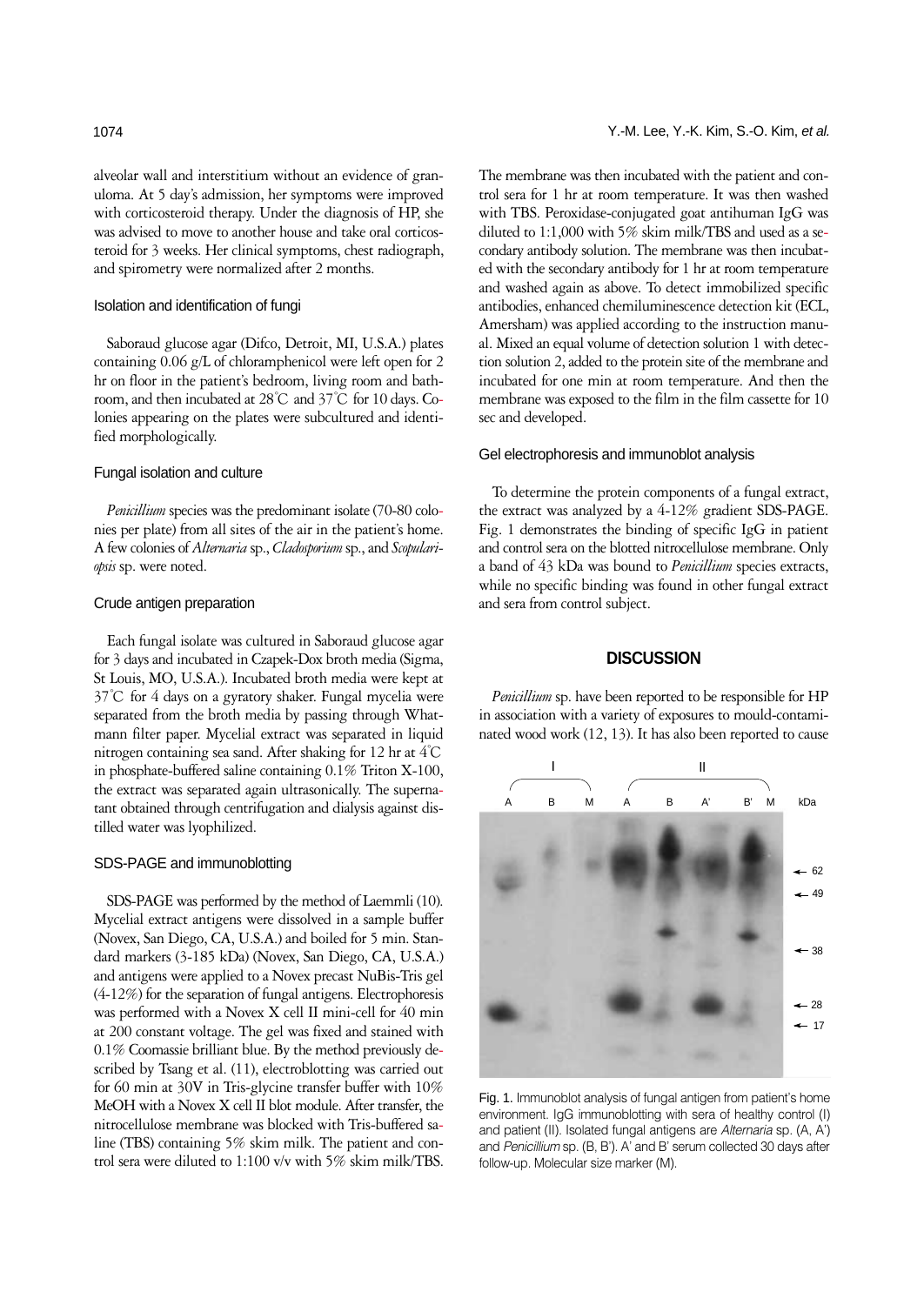alveolar wall and interstitium without an evidence of granuloma. At 5 day's admission, her symptoms were improved with corticosteroid therapy. Under the diagnosis of HP, she was advised to move to another house and take oral corticosteroid for 3 weeks. Her clinical symptoms, chest radiograph, and spirometry were normalized after 2 months.

### Isolation and identification of fungi

Saboraud glucose agar (Difco, Detroit, MI, U.S.A.) plates containing 0.06 g/L of chloramphenicol were left open for 2 hr on floor in the patient's bedroom, living room and bathroom, and then incubated at 28℃ and 37℃ for 10 days. Colonies appearing on the plates were subcultured and identified morphologically.

#### Fungal isolation and culture

*Penicillium* species was the predominant isolate (70-80 colonies per plate) from all sites of the air in the patient's home. A few colonies of *Alternaria* sp., *Cladosporium* sp., and *Scopulariopsis* sp. were noted.

#### Crude antigen preparation

Each fungal isolate was cultured in Saboraud glucose agar for 3 days and incubated in Czapek-Dox broth media (Sigma, St Louis, MO, U.S.A.). Incubated broth media were kept at 37℃ for 4 days on a gyratory shaker. Fungal mycelia were separated from the broth media by passing through Whatmann filter paper. Mycelial extract was separated in liquid nitrogen containing sea sand. After shaking for 12 hr at 4℃ in phosphate-buffered saline containing 0.1% Triton X-100, the extract was separated again ultrasonically. The supernatant obtained through centrifugation and dialysis against distilled water was lyophilized.

#### SDS-PAGE and immunoblotting

SDS-PAGE was performed by the method of Laemmli (10). Mycelial extract antigens were dissolved in a sample buffer (Novex, San Diego, CA, U.S.A.) and boiled for 5 min. Standard markers (3-185 kDa) (Novex, San Diego, CA, U.S.A.) and antigens were applied to a Novex precast NuBis-Tris gel (4-12%) for the separation of fungal antigens. Electrophoresis was performed with a Novex X cell II mini-cell for 40 min at 200 constant voltage. The gel was fixed and stained with 0.1% Coomassie brilliant blue. By the method previously described by Tsang et al. (11), electroblotting was carried out for 60 min at 30V in Tris-glycine transfer buffer with 10% MeOH with a Novex X cell II blot module. After transfer, the nitrocellulose membrane was blocked with Tris-buffered saline (TBS) containing 5% skim milk. The patient and control sera were diluted to 1:100 v/v with 5% skim milk/TBS.

The membrane was then incubated with the patient and control sera for 1 hr at room temperature. It was then washed with TBS. Peroxidase-conjugated goat antihuman IgG was diluted to 1:1,000 with 5% skim milk/TBS and used as a secondary antibody solution. The membrane was then incubated with the secondary antibody for 1 hr at room temperature and washed again as above. To detect immobilized specific antibodies, enhanced chemiluminescence detection kit (ECL, Amersham) was applied according to the instruction manual. Mixed an equal volume of detection solution 1 with detection solution 2, added to the protein site of the membrane and incubated for one min at room temperature. And then the membrane was exposed to the film in the film cassette for 10 sec and developed.

#### Gel electrophoresis and immunoblot analysis

To determine the protein components of a fungal extract, the extract was analyzed by a 4-12% gradient SDS-PAGE. Fig. 1 demonstrates the binding of specific IgG in patient and control sera on the blotted nitrocellulose membrane. Only a band of 43 kDa was bound to *Penicillium* species extracts, while no specific binding was found in other fungal extract and sera from control subject.

# **DISCUSSION**

*Penicillium* sp. have been reported to be responsible for HP in association with a variety of exposures to mould-contaminated wood work (12, 13). It has also been reported to cause



Fig. 1. Immunoblot analysis of fungal antigen from patient's home environment. IgG immunoblotting with sera of healthy control (I) and patient (II). Isolated fungal antigens are *Alternaria* sp. (A, A') and *Penicillium* sp. (B, B'). A' and B' serum collected 30 days after follow-up. Molecular size marker (M).